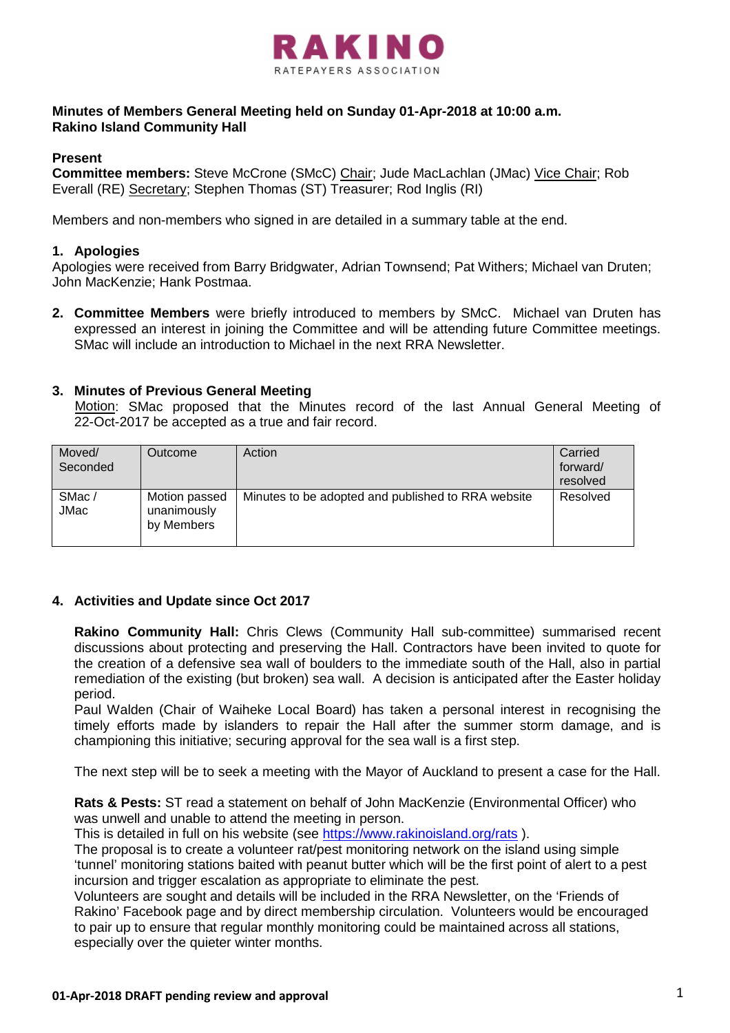

# **Minutes of Members General Meeting held on Sunday 01-Apr-2018 at 10:00 a.m. Rakino Island Community Hall**

### **Present**

**Committee members:** Steve McCrone (SMcC) Chair; Jude MacLachlan (JMac) Vice Chair; Rob Everall (RE) Secretary; Stephen Thomas (ST) Treasurer; Rod Inglis (RI)

Members and non-members who signed in are detailed in a summary table at the end.

### **1. Apologies**

Apologies were received from Barry Bridgwater, Adrian Townsend; Pat Withers; Michael van Druten; John MacKenzie; Hank Postmaa.

**2. Committee Members** were briefly introduced to members by SMcC. Michael van Druten has expressed an interest in joining the Committee and will be attending future Committee meetings. SMac will include an introduction to Michael in the next RRA Newsletter.

#### **3. Minutes of Previous General Meeting**

 Motion: SMac proposed that the Minutes record of the last Annual General Meeting of 22-Oct-2017 be accepted as a true and fair record.

| Moved/<br>Seconded | Outcome                                    | Action                                             | Carried<br>forward/<br>resolved |
|--------------------|--------------------------------------------|----------------------------------------------------|---------------------------------|
| SMac/<br>JMac      | Motion passed<br>unanimously<br>by Members | Minutes to be adopted and published to RRA website | Resolved                        |

# **4. Activities and Update since Oct 2017**

**Rakino Community Hall:** Chris Clews (Community Hall sub-committee) summarised recent discussions about protecting and preserving the Hall. Contractors have been invited to quote for the creation of a defensive sea wall of boulders to the immediate south of the Hall, also in partial remediation of the existing (but broken) sea wall. A decision is anticipated after the Easter holiday period.

Paul Walden (Chair of Waiheke Local Board) has taken a personal interest in recognising the timely efforts made by islanders to repair the Hall after the summer storm damage, and is championing this initiative; securing approval for the sea wall is a first step.

The next step will be to seek a meeting with the Mayor of Auckland to present a case for the Hall.

**Rats & Pests:** ST read a statement on behalf of John MacKenzie (Environmental Officer) who was unwell and unable to attend the meeting in person.

This is detailed in full on his website (see<https://www.rakinoisland.org/rats>).

The proposal is to create a volunteer rat/pest monitoring network on the island using simple 'tunnel' monitoring stations baited with peanut butter which will be the first point of alert to a pest incursion and trigger escalation as appropriate to eliminate the pest.

Volunteers are sought and details will be included in the RRA Newsletter, on the 'Friends of Rakino' Facebook page and by direct membership circulation. Volunteers would be encouraged to pair up to ensure that regular monthly monitoring could be maintained across all stations, especially over the quieter winter months.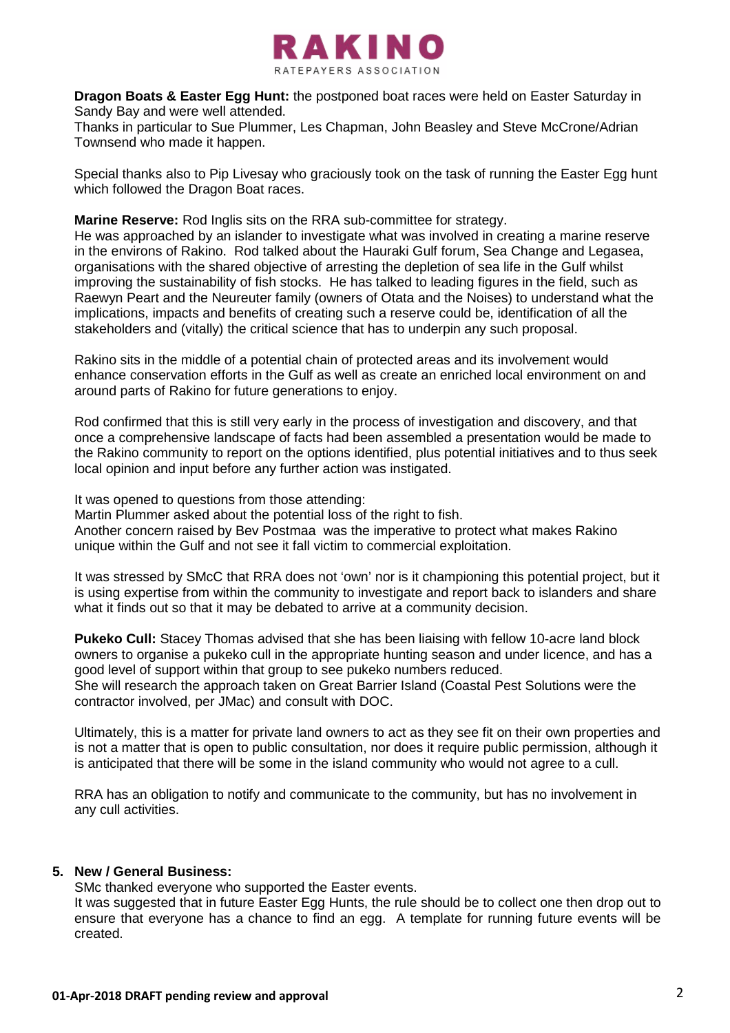

**Dragon Boats & Easter Egg Hunt:** the postponed boat races were held on Easter Saturday in Sandy Bay and were well attended.

Thanks in particular to Sue Plummer, Les Chapman, John Beasley and Steve McCrone/Adrian Townsend who made it happen.

Special thanks also to Pip Livesay who graciously took on the task of running the Easter Egg hunt which followed the Dragon Boat races.

**Marine Reserve:** Rod Inglis sits on the RRA sub-committee for strategy.

He was approached by an islander to investigate what was involved in creating a marine reserve in the environs of Rakino. Rod talked about the Hauraki Gulf forum, Sea Change and Legasea, organisations with the shared objective of arresting the depletion of sea life in the Gulf whilst improving the sustainability of fish stocks. He has talked to leading figures in the field, such as Raewyn Peart and the Neureuter family (owners of Otata and the Noises) to understand what the implications, impacts and benefits of creating such a reserve could be, identification of all the stakeholders and (vitally) the critical science that has to underpin any such proposal.

Rakino sits in the middle of a potential chain of protected areas and its involvement would enhance conservation efforts in the Gulf as well as create an enriched local environment on and around parts of Rakino for future generations to enjoy.

Rod confirmed that this is still very early in the process of investigation and discovery, and that once a comprehensive landscape of facts had been assembled a presentation would be made to the Rakino community to report on the options identified, plus potential initiatives and to thus seek local opinion and input before any further action was instigated.

It was opened to questions from those attending:

Martin Plummer asked about the potential loss of the right to fish.

Another concern raised by Bev Postmaa was the imperative to protect what makes Rakino unique within the Gulf and not see it fall victim to commercial exploitation.

It was stressed by SMcC that RRA does not 'own' nor is it championing this potential project, but it is using expertise from within the community to investigate and report back to islanders and share what it finds out so that it may be debated to arrive at a community decision.

**Pukeko Cull:** Stacey Thomas advised that she has been liaising with fellow 10-acre land block owners to organise a pukeko cull in the appropriate hunting season and under licence, and has a good level of support within that group to see pukeko numbers reduced. She will research the approach taken on Great Barrier Island (Coastal Pest Solutions were the contractor involved, per JMac) and consult with DOC.

Ultimately, this is a matter for private land owners to act as they see fit on their own properties and is not a matter that is open to public consultation, nor does it require public permission, although it is anticipated that there will be some in the island community who would not agree to a cull.

RRA has an obligation to notify and communicate to the community, but has no involvement in any cull activities.

# **5. New / General Business:**

SMc thanked everyone who supported the Easter events.

It was suggested that in future Easter Egg Hunts, the rule should be to collect one then drop out to ensure that everyone has a chance to find an egg. A template for running future events will be created.